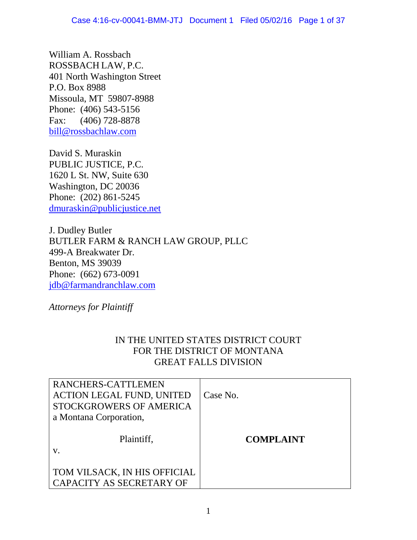William A. Rossbach ROSSBACH LAW, P.C. 401 North Washington Street P.O. Box 8988 Missoula, MT 59807-8988 Phone: (406) 543-5156 Fax: (406) 728-8878 [bill@rossbachlaw.com](mailto:bill@rossbachlaw.com)

David S. Muraskin PUBLIC JUSTICE, P.C. 1620 L St. NW, Suite 630 Washington, DC 20036 Phone: (202) 861-5245 [dmuraskin@publicjustice.net](mailto:dmuraskin@publicjustice.net)

J. Dudley Butler BUTLER FARM & RANCH LAW GROUP, PLLC 499-A Breakwater Dr. Benton, MS 39039 Phone: (662) 673-0091 [jdb@farmandranchlaw.com](mailto:jdb@farmandranchlaw.com)

*Attorneys for Plaintiff*

# IN THE UNITED STATES DISTRICT COURT FOR THE DISTRICT OF MONTANA GREAT FALLS DIVISION

| RANCHERS-CATTLEMEN<br><b>ACTION LEGAL FUND, UNITED</b><br>STOCKGROWERS OF AMERICA<br>a Montana Corporation, | Case No.         |
|-------------------------------------------------------------------------------------------------------------|------------------|
| Plaintiff,                                                                                                  | <b>COMPLAINT</b> |
| TOM VILSACK, IN HIS OFFICIAL<br>CAPACITY AS SECRETARY OF                                                    |                  |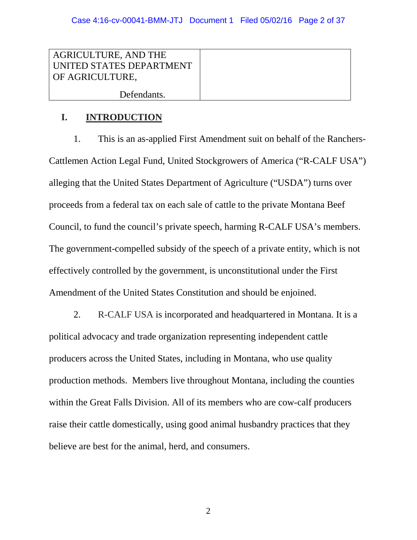| <b>AGRICULTURE, AND THE</b><br>UNITED STATES DEPARTMENT<br>OF AGRICULTURE, |  |
|----------------------------------------------------------------------------|--|
| Defendants.                                                                |  |

# **I. INTRODUCTION**

1. This is an as-applied First Amendment suit on behalf of the Ranchers-Cattlemen Action Legal Fund, United Stockgrowers of America ("R-CALF USA") alleging that the United States Department of Agriculture ("USDA") turns over proceeds from a federal tax on each sale of cattle to the private Montana Beef Council, to fund the council's private speech, harming R-CALF USA's members. The government-compelled subsidy of the speech of a private entity, which is not effectively controlled by the government, is unconstitutional under the First Amendment of the United States Constitution and should be enjoined.

2. R-CALF USA is incorporated and headquartered in Montana. It is a political advocacy and trade organization representing independent cattle producers across the United States, including in Montana, who use quality production methods. Members live throughout Montana, including the counties within the Great Falls Division. All of its members who are cow-calf producers raise their cattle domestically, using good animal husbandry practices that they believe are best for the animal, herd, and consumers.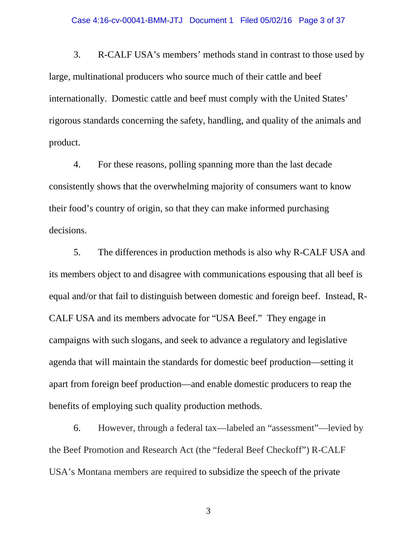#### Case 4:16-cv-00041-BMM-JTJ Document 1 Filed 05/02/16 Page 3 of 37

3. R-CALF USA's members' methods stand in contrast to those used by large, multinational producers who source much of their cattle and beef internationally. Domestic cattle and beef must comply with the United States' rigorous standards concerning the safety, handling, and quality of the animals and product.

4. For these reasons, polling spanning more than the last decade consistently shows that the overwhelming majority of consumers want to know their food's country of origin, so that they can make informed purchasing decisions.

5. The differences in production methods is also why R-CALF USA and its members object to and disagree with communications espousing that all beef is equal and/or that fail to distinguish between domestic and foreign beef. Instead, R-CALF USA and its members advocate for "USA Beef." They engage in campaigns with such slogans, and seek to advance a regulatory and legislative agenda that will maintain the standards for domestic beef production—setting it apart from foreign beef production—and enable domestic producers to reap the benefits of employing such quality production methods.

6. However, through a federal tax—labeled an "assessment"—levied by the Beef Promotion and Research Act (the "federal Beef Checkoff") R-CALF USA's Montana members are required to subsidize the speech of the private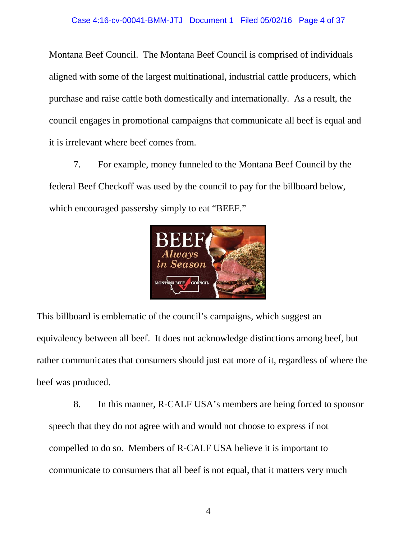Montana Beef Council. The Montana Beef Council is comprised of individuals aligned with some of the largest multinational, industrial cattle producers, which purchase and raise cattle both domestically and internationally. As a result, the council engages in promotional campaigns that communicate all beef is equal and it is irrelevant where beef comes from.

7. For example, money funneled to the Montana Beef Council by the federal Beef Checkoff was used by the council to pay for the billboard below, which encouraged passersby simply to eat "BEEF."



This billboard is emblematic of the council's campaigns, which suggest an equivalency between all beef. It does not acknowledge distinctions among beef, but rather communicates that consumers should just eat more of it, regardless of where the beef was produced.

8. In this manner, R-CALF USA's members are being forced to sponsor speech that they do not agree with and would not choose to express if not compelled to do so. Members of R-CALF USA believe it is important to communicate to consumers that all beef is not equal, that it matters very much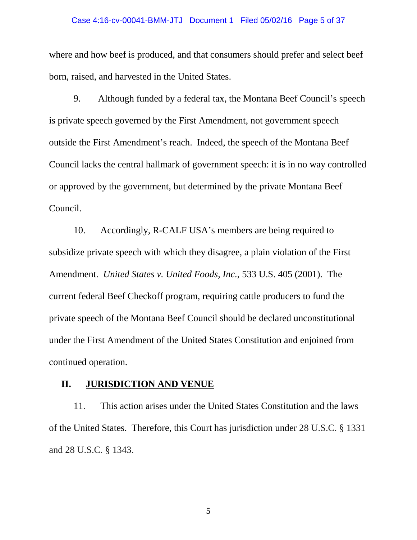#### Case 4:16-cv-00041-BMM-JTJ Document 1 Filed 05/02/16 Page 5 of 37

where and how beef is produced, and that consumers should prefer and select beef born, raised, and harvested in the United States.

9. Although funded by a federal tax, the Montana Beef Council's speech is private speech governed by the First Amendment, not government speech outside the First Amendment's reach. Indeed, the speech of the Montana Beef Council lacks the central hallmark of government speech: it is in no way controlled or approved by the government, but determined by the private Montana Beef Council.

10. Accordingly, R-CALF USA's members are being required to subsidize private speech with which they disagree, a plain violation of the First Amendment. *United States v. United Foods, Inc.*, 533 U.S. 405 (2001). The current federal Beef Checkoff program, requiring cattle producers to fund the private speech of the Montana Beef Council should be declared unconstitutional under the First Amendment of the United States Constitution and enjoined from continued operation.

### **II. JURISDICTION AND VENUE**

11. This action arises under the United States Constitution and the laws of the United States. Therefore, this Court has jurisdiction under 28 U.S.C. § 1331 and 28 U.S.C. § 1343.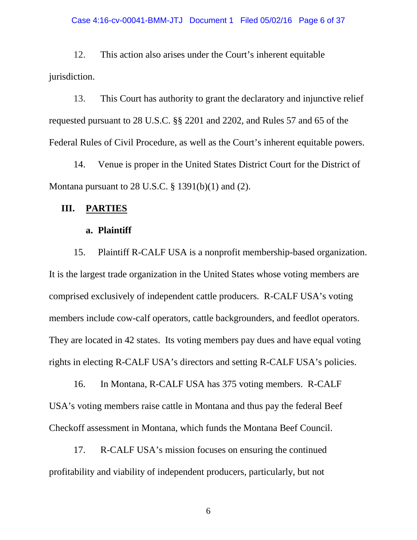### Case 4:16-cv-00041-BMM-JTJ Document 1 Filed 05/02/16 Page 6 of 37

12. This action also arises under the Court's inherent equitable jurisdiction.

13. This Court has authority to grant the declaratory and injunctive relief requested pursuant to 28 U.S.C. §§ 2201 and 2202, and Rules 57 and 65 of the Federal Rules of Civil Procedure, as well as the Court's inherent equitable powers.

14. Venue is proper in the United States District Court for the District of Montana pursuant to 28 U.S.C.  $\S$  1391(b)(1) and (2).

### **III. PARTIES**

### **a. Plaintiff**

15. Plaintiff R-CALF USA is a nonprofit membership-based organization. It is the largest trade organization in the United States whose voting members are comprised exclusively of independent cattle producers. R-CALF USA's voting members include cow-calf operators, cattle backgrounders, and feedlot operators. They are located in 42 states. Its voting members pay dues and have equal voting rights in electing R-CALF USA's directors and setting R-CALF USA's policies.

16. In Montana, R-CALF USA has 375 voting members. R-CALF USA's voting members raise cattle in Montana and thus pay the federal Beef Checkoff assessment in Montana, which funds the Montana Beef Council.

17. R-CALF USA's mission focuses on ensuring the continued profitability and viability of independent producers, particularly, but not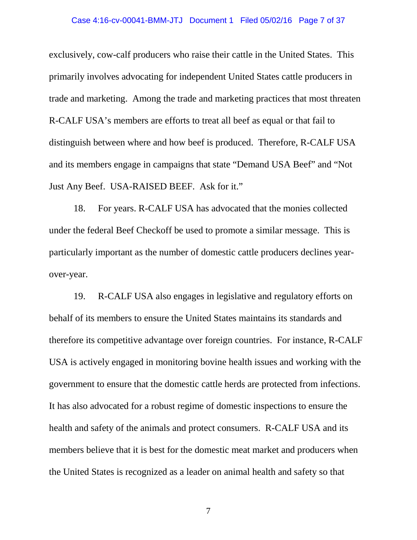### Case 4:16-cv-00041-BMM-JTJ Document 1 Filed 05/02/16 Page 7 of 37

exclusively, cow-calf producers who raise their cattle in the United States. This primarily involves advocating for independent United States cattle producers in trade and marketing. Among the trade and marketing practices that most threaten R-CALF USA's members are efforts to treat all beef as equal or that fail to distinguish between where and how beef is produced. Therefore, R-CALF USA and its members engage in campaigns that state "Demand USA Beef" and "Not Just Any Beef. USA-RAISED BEEF. Ask for it."

18. For years. R-CALF USA has advocated that the monies collected under the federal Beef Checkoff be used to promote a similar message. This is particularly important as the number of domestic cattle producers declines yearover-year.

19. R-CALF USA also engages in legislative and regulatory efforts on behalf of its members to ensure the United States maintains its standards and therefore its competitive advantage over foreign countries. For instance, R-CALF USA is actively engaged in monitoring bovine health issues and working with the government to ensure that the domestic cattle herds are protected from infections. It has also advocated for a robust regime of domestic inspections to ensure the health and safety of the animals and protect consumers. R-CALF USA and its members believe that it is best for the domestic meat market and producers when the United States is recognized as a leader on animal health and safety so that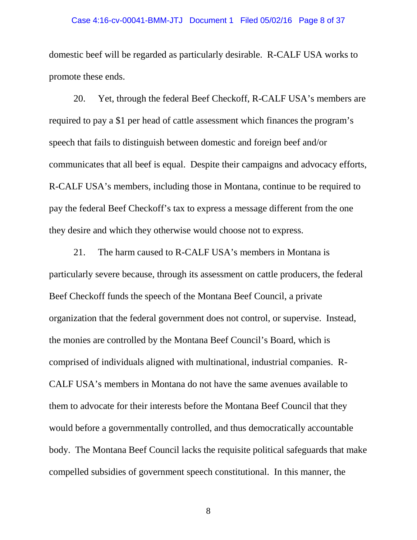### Case 4:16-cv-00041-BMM-JTJ Document 1 Filed 05/02/16 Page 8 of 37

domestic beef will be regarded as particularly desirable. R-CALF USA works to promote these ends.

20. Yet, through the federal Beef Checkoff, R-CALF USA's members are required to pay a \$1 per head of cattle assessment which finances the program's speech that fails to distinguish between domestic and foreign beef and/or communicates that all beef is equal. Despite their campaigns and advocacy efforts, R-CALF USA's members, including those in Montana, continue to be required to pay the federal Beef Checkoff's tax to express a message different from the one they desire and which they otherwise would choose not to express.

21. The harm caused to R-CALF USA's members in Montana is particularly severe because, through its assessment on cattle producers, the federal Beef Checkoff funds the speech of the Montana Beef Council, a private organization that the federal government does not control, or supervise. Instead, the monies are controlled by the Montana Beef Council's Board, which is comprised of individuals aligned with multinational, industrial companies. R-CALF USA's members in Montana do not have the same avenues available to them to advocate for their interests before the Montana Beef Council that they would before a governmentally controlled, and thus democratically accountable body. The Montana Beef Council lacks the requisite political safeguards that make compelled subsidies of government speech constitutional. In this manner, the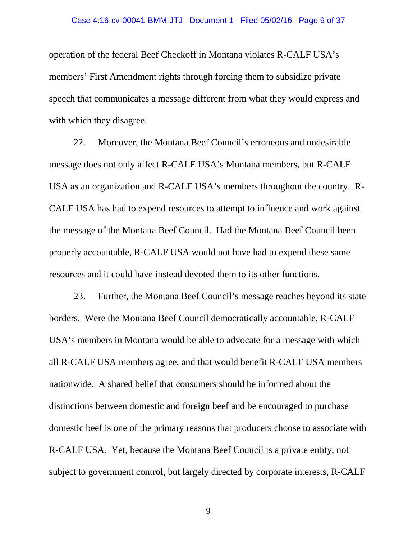#### Case 4:16-cv-00041-BMM-JTJ Document 1 Filed 05/02/16 Page 9 of 37

operation of the federal Beef Checkoff in Montana violates R-CALF USA's members' First Amendment rights through forcing them to subsidize private speech that communicates a message different from what they would express and with which they disagree.

22. Moreover, the Montana Beef Council's erroneous and undesirable message does not only affect R-CALF USA's Montana members, but R-CALF USA as an organization and R-CALF USA's members throughout the country. R-CALF USA has had to expend resources to attempt to influence and work against the message of the Montana Beef Council. Had the Montana Beef Council been properly accountable, R-CALF USA would not have had to expend these same resources and it could have instead devoted them to its other functions.

23. Further, the Montana Beef Council's message reaches beyond its state borders. Were the Montana Beef Council democratically accountable, R-CALF USA's members in Montana would be able to advocate for a message with which all R-CALF USA members agree, and that would benefit R-CALF USA members nationwide. A shared belief that consumers should be informed about the distinctions between domestic and foreign beef and be encouraged to purchase domestic beef is one of the primary reasons that producers choose to associate with R-CALF USA. Yet, because the Montana Beef Council is a private entity, not subject to government control, but largely directed by corporate interests, R-CALF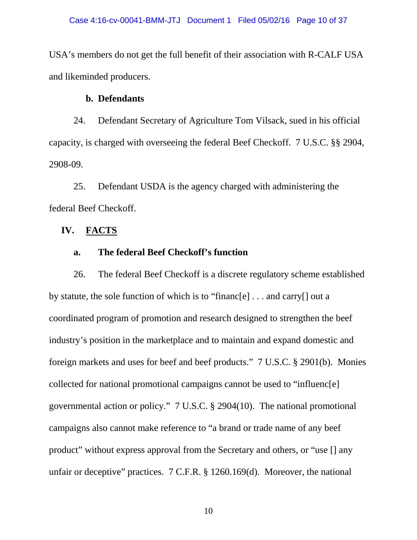USA's members do not get the full benefit of their association with R-CALF USA and likeminded producers.

### **b. Defendants**

24. Defendant Secretary of Agriculture Tom Vilsack, sued in his official capacity, is charged with overseeing the federal Beef Checkoff. 7 U.S.C. §§ 2904, 2908-09.

25. Defendant USDA is the agency charged with administering the federal Beef Checkoff.

## **IV. FACTS**

## **a. The federal Beef Checkoff's function**

26. The federal Beef Checkoff is a discrete regulatory scheme established by statute, the sole function of which is to "financ[e] . . . and carry[] out a coordinated program of promotion and research designed to strengthen the beef industry's position in the marketplace and to maintain and expand domestic and foreign markets and uses for beef and beef products." 7 U.S.C. § 2901(b). Monies collected for national promotional campaigns cannot be used to "influenc[e] governmental action or policy." 7 U.S.C. § 2904(10). The national promotional campaigns also cannot make reference to "a brand or trade name of any beef product" without express approval from the Secretary and others, or "use [] any unfair or deceptive" practices. 7 C.F.R. § 1260.169(d). Moreover, the national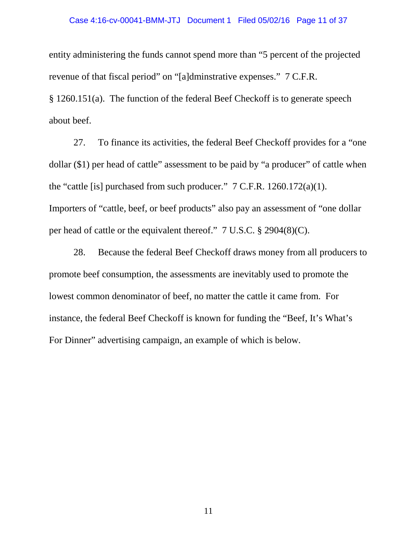### Case 4:16-cv-00041-BMM-JTJ Document 1 Filed 05/02/16 Page 11 of 37

entity administering the funds cannot spend more than "5 percent of the projected revenue of that fiscal period" on "[a]dminstrative expenses." 7 C.F.R. § 1260.151(a). The function of the federal Beef Checkoff is to generate speech about beef.

27. To finance its activities, the federal Beef Checkoff provides for a "one dollar (\$1) per head of cattle" assessment to be paid by "a producer" of cattle when the "cattle [is] purchased from such producer." 7 C.F.R. 1260.172(a)(1). Importers of "cattle, beef, or beef products" also pay an assessment of "one dollar per head of cattle or the equivalent thereof." 7 U.S.C. § 2904(8)(C).

28. Because the federal Beef Checkoff draws money from all producers to promote beef consumption, the assessments are inevitably used to promote the lowest common denominator of beef, no matter the cattle it came from. For instance, the federal Beef Checkoff is known for funding the "Beef, It's What's For Dinner" advertising campaign, an example of which is below.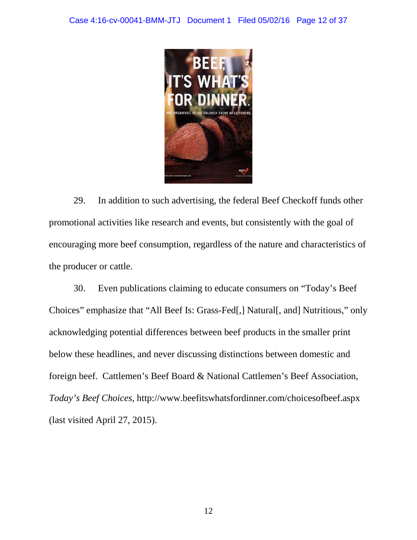

29. In addition to such advertising, the federal Beef Checkoff funds other promotional activities like research and events, but consistently with the goal of encouraging more beef consumption, regardless of the nature and characteristics of the producer or cattle.

30. Even publications claiming to educate consumers on "Today's Beef Choices" emphasize that "All Beef Is: Grass-Fed[,] Natural[, and] Nutritious," only acknowledging potential differences between beef products in the smaller print below these headlines, and never discussing distinctions between domestic and foreign beef. Cattlemen's Beef Board & National Cattlemen's Beef Association, *Today's Beef Choices*, http://www.beefitswhatsfordinner.com/choicesofbeef.aspx (last visited April 27, 2015).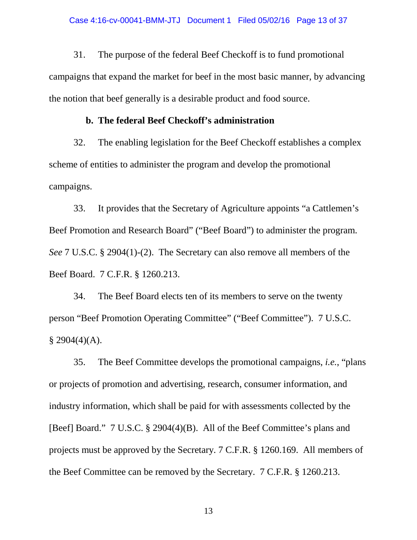31. The purpose of the federal Beef Checkoff is to fund promotional campaigns that expand the market for beef in the most basic manner, by advancing the notion that beef generally is a desirable product and food source.

### **b. The federal Beef Checkoff's administration**

32. The enabling legislation for the Beef Checkoff establishes a complex scheme of entities to administer the program and develop the promotional campaigns.

33. It provides that the Secretary of Agriculture appoints "a Cattlemen's Beef Promotion and Research Board" ("Beef Board") to administer the program. *See* 7 U.S.C. § 2904(1)-(2). The Secretary can also remove all members of the Beef Board. 7 C.F.R. § 1260.213.

34. The Beef Board elects ten of its members to serve on the twenty person "Beef Promotion Operating Committee" ("Beef Committee"). 7 U.S.C.  $§$  2904(4)(A).

35. The Beef Committee develops the promotional campaigns, *i.e.*, "plans or projects of promotion and advertising, research, consumer information, and industry information, which shall be paid for with assessments collected by the [Beef] Board." 7 U.S.C. § 2904(4)(B). All of the Beef Committee's plans and projects must be approved by the Secretary. 7 C.F.R. § 1260.169. All members of the Beef Committee can be removed by the Secretary. 7 C.F.R. § 1260.213.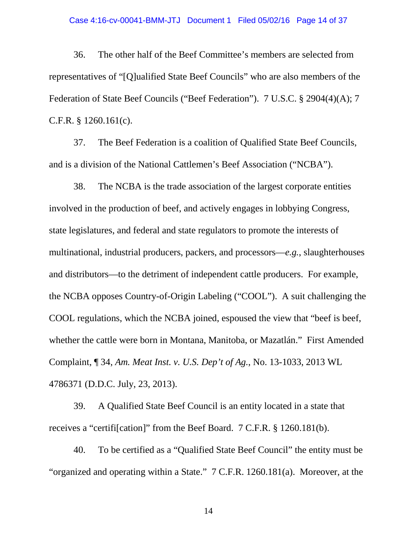### Case 4:16-cv-00041-BMM-JTJ Document 1 Filed 05/02/16 Page 14 of 37

36. The other half of the Beef Committee's members are selected from representatives of "[Q]ualified State Beef Councils" who are also members of the Federation of State Beef Councils ("Beef Federation"). 7 U.S.C. § 2904(4)(A); 7 C.F.R. § 1260.161(c).

37. The Beef Federation is a coalition of Qualified State Beef Councils, and is a division of the National Cattlemen's Beef Association ("NCBA").

38. The NCBA is the trade association of the largest corporate entities involved in the production of beef, and actively engages in lobbying Congress, state legislatures, and federal and state regulators to promote the interests of multinational, industrial producers, packers, and processors—*e.g.*, slaughterhouses and distributors—to the detriment of independent cattle producers. For example, the NCBA opposes Country-of-Origin Labeling ("COOL"). A suit challenging the COOL regulations, which the NCBA joined, espoused the view that "beef is beef, whether the cattle were born in Montana, Manitoba, or Mazatlán." First Amended Complaint, ¶ 34, *Am. Meat Inst. v. U.S. Dep't of Ag.*, No. 13-1033, 2013 WL 4786371 (D.D.C. July, 23, 2013).

39. A Qualified State Beef Council is an entity located in a state that receives a "certifi[cation]" from the Beef Board. 7 C.F.R. § 1260.181(b).

40. To be certified as a "Qualified State Beef Council" the entity must be "organized and operating within a State." 7 C.F.R. 1260.181(a). Moreover, at the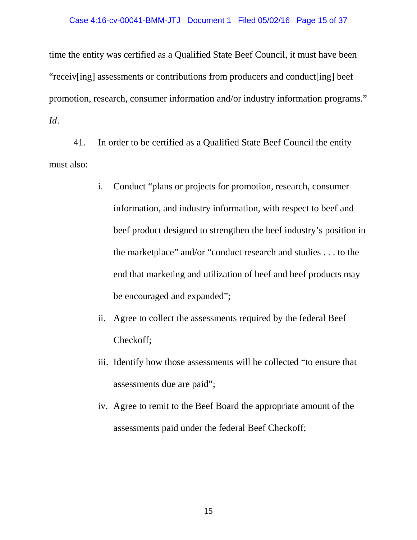time the entity was certified as a Qualified State Beef Council, it must have been "receiv[ing] assessments or contributions from producers and conduct[ing] beef promotion, research, consumer information and/or industry information programs." *Id*.

41. In order to be certified as a Qualified State Beef Council the entity must also:

- i. Conduct "plans or projects for promotion, research, consumer information, and industry information, with respect to beef and beef product designed to strengthen the beef industry's position in the marketplace" and/or "conduct research and studies . . . to the end that marketing and utilization of beef and beef products may be encouraged and expanded";
- ii. Agree to collect the assessments required by the federal Beef Checkoff;
- iii. Identify how those assessments will be collected "to ensure that assessments due are paid";
- iv. Agree to remit to the Beef Board the appropriate amount of the assessments paid under the federal Beef Checkoff;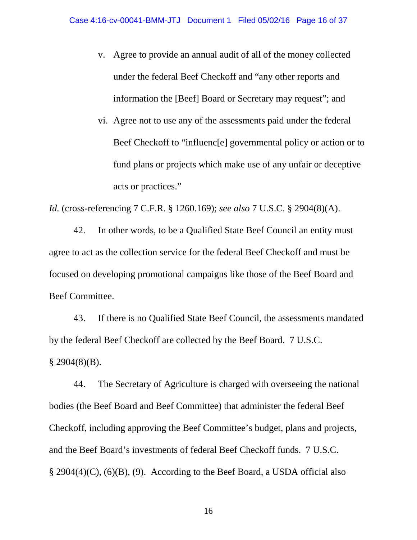- v. Agree to provide an annual audit of all of the money collected under the federal Beef Checkoff and "any other reports and information the [Beef] Board or Secretary may request"; and
- vi. Agree not to use any of the assessments paid under the federal Beef Checkoff to "influenc[e] governmental policy or action or to fund plans or projects which make use of any unfair or deceptive acts or practices."

*Id.* (cross-referencing 7 C.F.R. § 1260.169); *see also* 7 U.S.C. § 2904(8)(A).

42. In other words, to be a Qualified State Beef Council an entity must agree to act as the collection service for the federal Beef Checkoff and must be focused on developing promotional campaigns like those of the Beef Board and Beef Committee.

43. If there is no Qualified State Beef Council, the assessments mandated by the federal Beef Checkoff are collected by the Beef Board. 7 U.S.C.  $§$  2904(8)(B).

44. The Secretary of Agriculture is charged with overseeing the national bodies (the Beef Board and Beef Committee) that administer the federal Beef Checkoff, including approving the Beef Committee's budget, plans and projects, and the Beef Board's investments of federal Beef Checkoff funds. 7 U.S.C. § 2904(4)(C), (6)(B), (9). According to the Beef Board, a USDA official also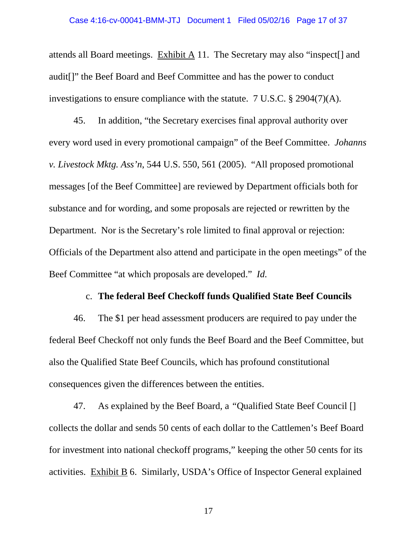attends all Board meetings. Exhibit A 11. The Secretary may also "inspect[] and audit[]" the Beef Board and Beef Committee and has the power to conduct investigations to ensure compliance with the statute. 7 U.S.C. § 2904(7)(A).

45. In addition, "the Secretary exercises final approval authority over every word used in every promotional campaign" of the Beef Committee. *Johanns v. Livestock Mktg. Ass'n*, 544 U.S. 550, 561 (2005). "All proposed promotional messages [of the Beef Committee] are reviewed by Department officials both for substance and for wording, and some proposals are rejected or rewritten by the Department. Nor is the Secretary's role limited to final approval or rejection: Officials of the Department also attend and participate in the open meetings" of the Beef Committee "at which proposals are developed." *Id.* 

### c. **The federal Beef Checkoff funds Qualified State Beef Councils**

46. The \$1 per head assessment producers are required to pay under the federal Beef Checkoff not only funds the Beef Board and the Beef Committee, but also the Qualified State Beef Councils, which has profound constitutional consequences given the differences between the entities.

47. As explained by the Beef Board, a *"*Qualified State Beef Council [] collects the dollar and sends 50 cents of each dollar to the Cattlemen's Beef Board for investment into national checkoff programs," keeping the other 50 cents for its activities. Exhibit B 6. Similarly, USDA's Office of Inspector General explained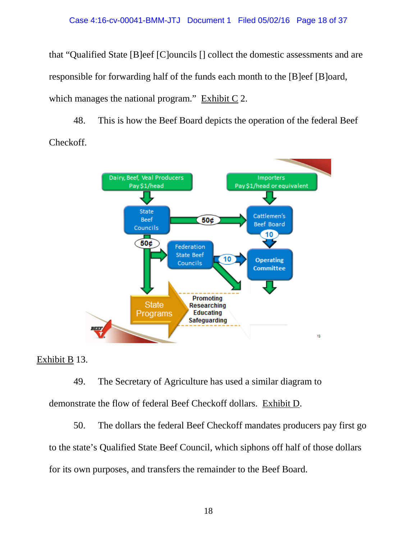that "Qualified State [B]eef [C]ouncils [] collect the domestic assessments and are responsible for forwarding half of the funds each month to the [B]eef [B]oard, which manages the national program." Exhibit C 2.

48. This is how the Beef Board depicts the operation of the federal Beef Checkoff.



# Exhibit B 13.

49. The Secretary of Agriculture has used a similar diagram to demonstrate the flow of federal Beef Checkoff dollars. Exhibit D.

50. The dollars the federal Beef Checkoff mandates producers pay first go to the state's Qualified State Beef Council, which siphons off half of those dollars for its own purposes, and transfers the remainder to the Beef Board.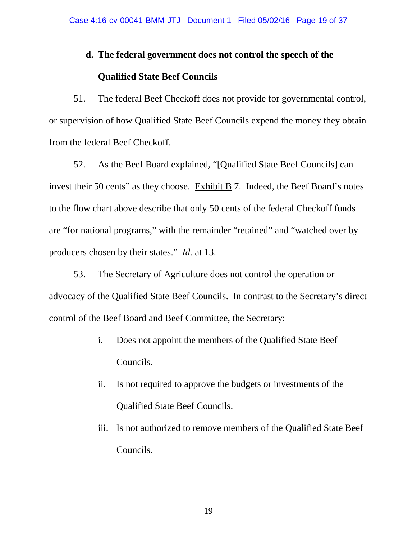### **d. The federal government does not control the speech of the**

## **Qualified State Beef Councils**

51. The federal Beef Checkoff does not provide for governmental control, or supervision of how Qualified State Beef Councils expend the money they obtain from the federal Beef Checkoff.

52. As the Beef Board explained, "[Qualified State Beef Councils] can invest their 50 cents" as they choose. Exhibit  $\overline{B}$  7. Indeed, the Beef Board's notes to the flow chart above describe that only 50 cents of the federal Checkoff funds are "for national programs," with the remainder "retained" and "watched over by producers chosen by their states." *Id.* at 13.

53. The Secretary of Agriculture does not control the operation or advocacy of the Qualified State Beef Councils. In contrast to the Secretary's direct control of the Beef Board and Beef Committee, the Secretary:

- i. Does not appoint the members of the Qualified State Beef Councils.
- ii. Is not required to approve the budgets or investments of the Qualified State Beef Councils.
- iii. Is not authorized to remove members of the Qualified State Beef Councils.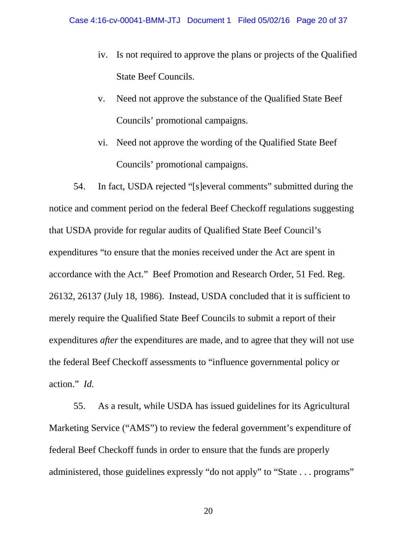- iv. Is not required to approve the plans or projects of the Qualified State Beef Councils.
- v. Need not approve the substance of the Qualified State Beef Councils' promotional campaigns.
- vi. Need not approve the wording of the Qualified State Beef Councils' promotional campaigns.

54. In fact, USDA rejected "[s]everal comments" submitted during the notice and comment period on the federal Beef Checkoff regulations suggesting that USDA provide for regular audits of Qualified State Beef Council's expenditures "to ensure that the monies received under the Act are spent in accordance with the Act." Beef Promotion and Research Order, 51 Fed. Reg. 26132, 26137 (July 18, 1986). Instead, USDA concluded that it is sufficient to merely require the Qualified State Beef Councils to submit a report of their expenditures *after* the expenditures are made, and to agree that they will not use the federal Beef Checkoff assessments to "influence governmental policy or action." *Id.* 

55. As a result, while USDA has issued guidelines for its Agricultural Marketing Service ("AMS") to review the federal government's expenditure of federal Beef Checkoff funds in order to ensure that the funds are properly administered, those guidelines expressly "do not apply" to "State . . . programs"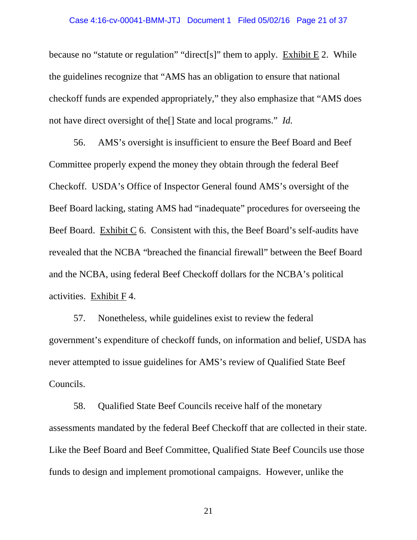### Case 4:16-cv-00041-BMM-JTJ Document 1 Filed 05/02/16 Page 21 of 37

because no "statute or regulation" "direct[s]" them to apply. Exhibit E 2. While the guidelines recognize that "AMS has an obligation to ensure that national checkoff funds are expended appropriately," they also emphasize that "AMS does not have direct oversight of the[] State and local programs." *Id.* 

56. AMS's oversight is insufficient to ensure the Beef Board and Beef Committee properly expend the money they obtain through the federal Beef Checkoff. USDA's Office of Inspector General found AMS's oversight of the Beef Board lacking, stating AMS had "inadequate" procedures for overseeing the Beef Board. Exhibit C 6. Consistent with this, the Beef Board's self-audits have revealed that the NCBA "breached the financial firewall" between the Beef Board and the NCBA, using federal Beef Checkoff dollars for the NCBA's political activities. Exhibit F 4.

57. Nonetheless, while guidelines exist to review the federal government's expenditure of checkoff funds, on information and belief, USDA has never attempted to issue guidelines for AMS's review of Qualified State Beef Councils.

58. Qualified State Beef Councils receive half of the monetary assessments mandated by the federal Beef Checkoff that are collected in their state. Like the Beef Board and Beef Committee, Qualified State Beef Councils use those funds to design and implement promotional campaigns. However, unlike the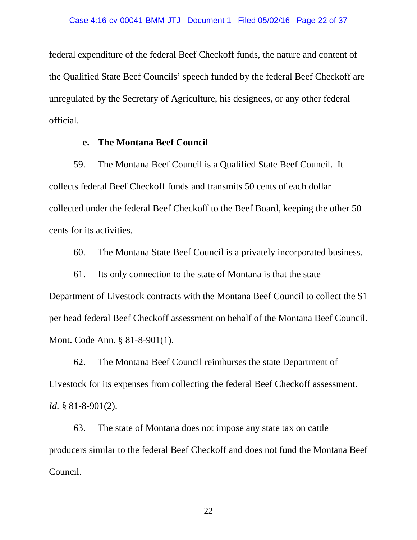federal expenditure of the federal Beef Checkoff funds, the nature and content of the Qualified State Beef Councils' speech funded by the federal Beef Checkoff are unregulated by the Secretary of Agriculture, his designees, or any other federal official.

### **e. The Montana Beef Council**

59. The Montana Beef Council is a Qualified State Beef Council. It collects federal Beef Checkoff funds and transmits 50 cents of each dollar collected under the federal Beef Checkoff to the Beef Board, keeping the other 50 cents for its activities.

60. The Montana State Beef Council is a privately incorporated business.

61. Its only connection to the state of Montana is that the state Department of Livestock contracts with the Montana Beef Council to collect the \$1 per head federal Beef Checkoff assessment on behalf of the Montana Beef Council. Mont. Code Ann. § 81-8-901(1).

62. The Montana Beef Council reimburses the state Department of Livestock for its expenses from collecting the federal Beef Checkoff assessment. *Id.* § 81-8-901(2).

63. The state of Montana does not impose any state tax on cattle producers similar to the federal Beef Checkoff and does not fund the Montana Beef Council.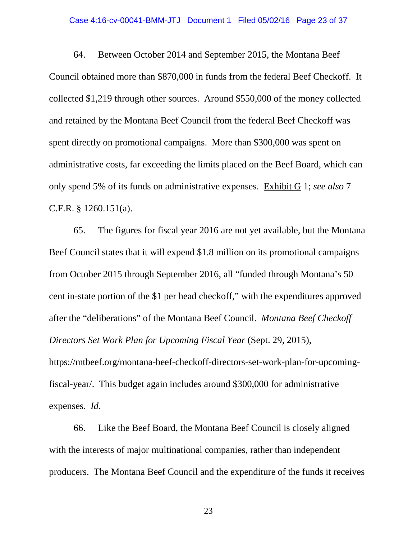### Case 4:16-cv-00041-BMM-JTJ Document 1 Filed 05/02/16 Page 23 of 37

64. Between October 2014 and September 2015, the Montana Beef Council obtained more than \$870,000 in funds from the federal Beef Checkoff. It collected \$1,219 through other sources. Around \$550,000 of the money collected and retained by the Montana Beef Council from the federal Beef Checkoff was spent directly on promotional campaigns. More than \$300,000 was spent on administrative costs, far exceeding the limits placed on the Beef Board, which can only spend 5% of its funds on administrative expenses. Exhibit G 1; *see also* 7 C.F.R. § 1260.151(a).

65. The figures for fiscal year 2016 are not yet available, but the Montana Beef Council states that it will expend \$1.8 million on its promotional campaigns from October 2015 through September 2016, all "funded through Montana's 50 cent in-state portion of the \$1 per head checkoff," with the expenditures approved after the "deliberations" of the Montana Beef Council. *Montana Beef Checkoff Directors Set Work Plan for Upcoming Fiscal Year* (Sept. 29, 2015), https://mtbeef.org/montana-beef-checkoff-directors-set-work-plan-for-upcomingfiscal-year/. This budget again includes around \$300,000 for administrative

expenses. *Id.* 

66. Like the Beef Board, the Montana Beef Council is closely aligned with the interests of major multinational companies, rather than independent producers. The Montana Beef Council and the expenditure of the funds it receives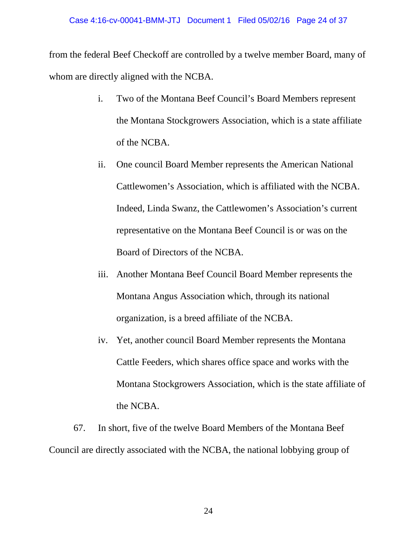from the federal Beef Checkoff are controlled by a twelve member Board, many of whom are directly aligned with the NCBA.

- i. Two of the Montana Beef Council's Board Members represent the Montana Stockgrowers Association, which is a state affiliate of the NCBA.
- ii. One council Board Member represents the American National Cattlewomen's Association, which is affiliated with the NCBA. Indeed, Linda Swanz, the Cattlewomen's Association's current representative on the Montana Beef Council is or was on the Board of Directors of the NCBA.
- iii. Another Montana Beef Council Board Member represents the Montana Angus Association which, through its national organization, is a breed affiliate of the NCBA.
- iv. Yet, another council Board Member represents the Montana Cattle Feeders, which shares office space and works with the Montana Stockgrowers Association, which is the state affiliate of the NCBA.

67. In short, five of the twelve Board Members of the Montana Beef Council are directly associated with the NCBA, the national lobbying group of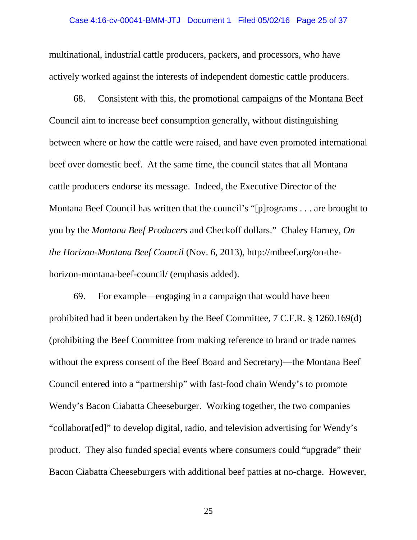multinational, industrial cattle producers, packers, and processors, who have actively worked against the interests of independent domestic cattle producers.

68. Consistent with this, the promotional campaigns of the Montana Beef Council aim to increase beef consumption generally, without distinguishing between where or how the cattle were raised, and have even promoted international beef over domestic beef. At the same time, the council states that all Montana cattle producers endorse its message. Indeed, the Executive Director of the Montana Beef Council has written that the council's "[p]rograms . . . are brought to you by the *Montana Beef Producers* and Checkoff dollars." Chaley Harney, *On the Horizon-Montana Beef Council* (Nov. 6, 2013), http://mtbeef.org/on-thehorizon-montana-beef-council/ (emphasis added).

69. For example—engaging in a campaign that would have been prohibited had it been undertaken by the Beef Committee, 7 C.F.R. § 1260.169(d) (prohibiting the Beef Committee from making reference to brand or trade names without the express consent of the Beef Board and Secretary)—the Montana Beef Council entered into a "partnership" with fast-food chain Wendy's to promote Wendy's Bacon Ciabatta Cheeseburger. Working together, the two companies "collaborat[ed]" to develop digital, radio, and television advertising for Wendy's product. They also funded special events where consumers could "upgrade" their Bacon Ciabatta Cheeseburgers with additional beef patties at no-charge. However,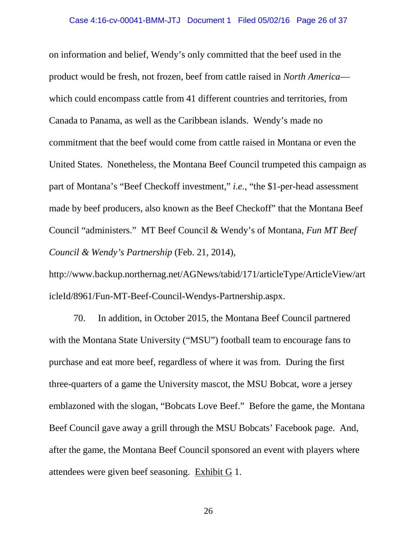on information and belief, Wendy's only committed that the beef used in the product would be fresh, not frozen, beef from cattle raised in *North America* which could encompass cattle from 41 different countries and territories, from Canada to Panama, as well as the Caribbean islands. Wendy's made no commitment that the beef would come from cattle raised in Montana or even the United States. Nonetheless, the Montana Beef Council trumpeted this campaign as part of Montana's "Beef Checkoff investment," *i.e.*, "the \$1-per-head assessment made by beef producers, also known as the Beef Checkoff" that the Montana Beef Council "administers." MT Beef Council & Wendy's of Montana, *Fun MT Beef Council & Wendy's Partnership* (Feb. 21, 2014),

http://www.backup.northernag.net/AGNews/tabid/171/articleType/ArticleView/art icleId/8961/Fun-MT-Beef-Council-Wendys-Partnership.aspx.

70. In addition, in October 2015, the Montana Beef Council partnered with the Montana State University ("MSU") football team to encourage fans to purchase and eat more beef, regardless of where it was from. During the first three-quarters of a game the University mascot, the MSU Bobcat, wore a jersey emblazoned with the slogan, "Bobcats Love Beef." Before the game, the Montana Beef Council gave away a grill through the MSU Bobcats' Facebook page. And, after the game, the Montana Beef Council sponsored an event with players where attendees were given beef seasoning. Exhibit G 1.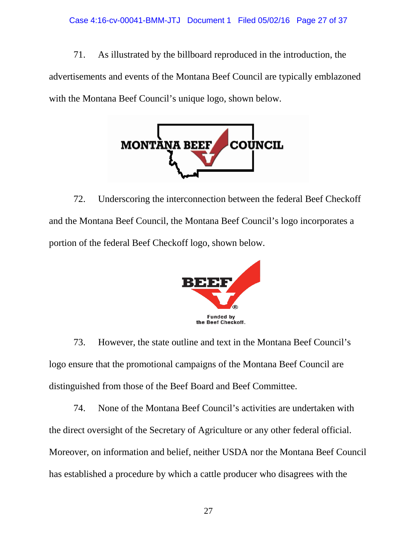71. As illustrated by the billboard reproduced in the introduction, the advertisements and events of the Montana Beef Council are typically emblazoned with the Montana Beef Council's unique logo, shown below.



72. Underscoring the interconnection between the federal Beef Checkoff and the Montana Beef Council, the Montana Beef Council's logo incorporates a portion of the federal Beef Checkoff logo, shown below.



73. However, the state outline and text in the Montana Beef Council's logo ensure that the promotional campaigns of the Montana Beef Council are distinguished from those of the Beef Board and Beef Committee.

74. None of the Montana Beef Council's activities are undertaken with the direct oversight of the Secretary of Agriculture or any other federal official. Moreover, on information and belief, neither USDA nor the Montana Beef Council has established a procedure by which a cattle producer who disagrees with the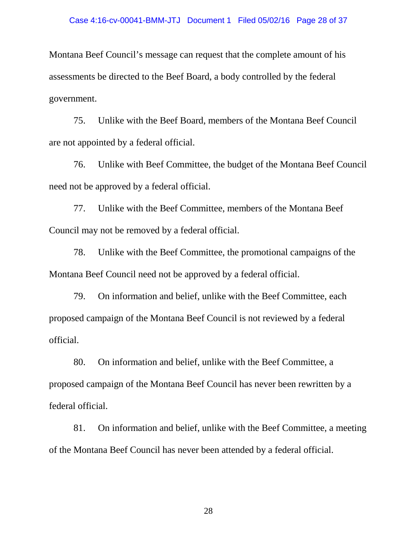Montana Beef Council's message can request that the complete amount of his assessments be directed to the Beef Board, a body controlled by the federal government.

75. Unlike with the Beef Board, members of the Montana Beef Council are not appointed by a federal official.

76. Unlike with Beef Committee, the budget of the Montana Beef Council need not be approved by a federal official.

77. Unlike with the Beef Committee, members of the Montana Beef Council may not be removed by a federal official.

78. Unlike with the Beef Committee, the promotional campaigns of the Montana Beef Council need not be approved by a federal official.

79. On information and belief, unlike with the Beef Committee, each proposed campaign of the Montana Beef Council is not reviewed by a federal official.

80. On information and belief, unlike with the Beef Committee, a proposed campaign of the Montana Beef Council has never been rewritten by a federal official.

81. On information and belief, unlike with the Beef Committee, a meeting of the Montana Beef Council has never been attended by a federal official.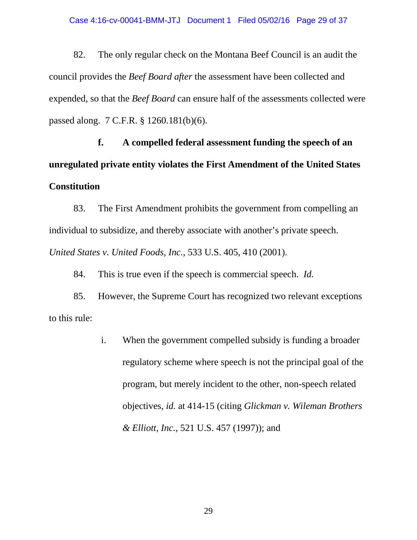82. The only regular check on the Montana Beef Council is an audit the council provides the *Beef Board after* the assessment have been collected and expended, so that the *Beef Board* can ensure half of the assessments collected were passed along. 7 C.F.R. § 1260.181(b)(6).

**f. A compelled federal assessment funding the speech of an unregulated private entity violates the First Amendment of the United States Constitution**

83. The First Amendment prohibits the government from compelling an individual to subsidize, and thereby associate with another's private speech. *United States v. United Foods, Inc.*, 533 U.S. 405, 410 (2001).

84. This is true even if the speech is commercial speech. *Id.* 

85. However, the Supreme Court has recognized two relevant exceptions to this rule:

> i. When the government compelled subsidy is funding a broader regulatory scheme where speech is not the principal goal of the program, but merely incident to the other, non-speech related objectives, *id.* at 414-15 (citing *Glickman v. Wileman Brothers & Elliott, Inc.*, 521 U.S. 457 (1997)); and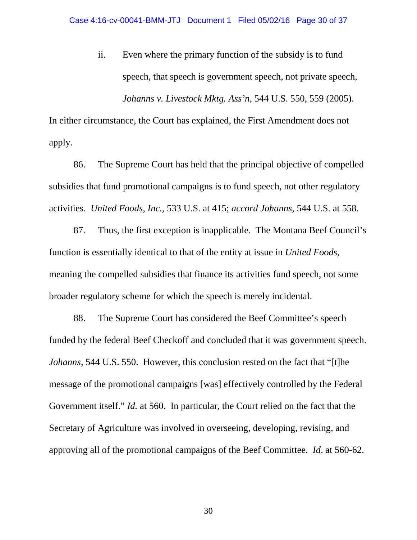ii. Even where the primary function of the subsidy is to fund speech, that speech is government speech, not private speech, *Johanns v. Livestock Mktg. Ass'n*, 544 U.S. 550, 559 (2005).

In either circumstance, the Court has explained, the First Amendment does not apply.

86. The Supreme Court has held that the principal objective of compelled subsidies that fund promotional campaigns is to fund speech, not other regulatory activities. *United Foods, Inc.*, 533 U.S. at 415; *accord Johanns*, 544 U.S. at 558*.* 

87. Thus, the first exception is inapplicable. The Montana Beef Council's function is essentially identical to that of the entity at issue in *United Foods*, meaning the compelled subsidies that finance its activities fund speech, not some broader regulatory scheme for which the speech is merely incidental.

88. The Supreme Court has considered the Beef Committee's speech funded by the federal Beef Checkoff and concluded that it was government speech. *Johanns*, 544 U.S. 550. However, this conclusion rested on the fact that "[t]he message of the promotional campaigns [was] effectively controlled by the Federal Government itself." *Id.* at 560. In particular, the Court relied on the fact that the Secretary of Agriculture was involved in overseeing, developing, revising, and approving all of the promotional campaigns of the Beef Committee. *Id*. at 560-62.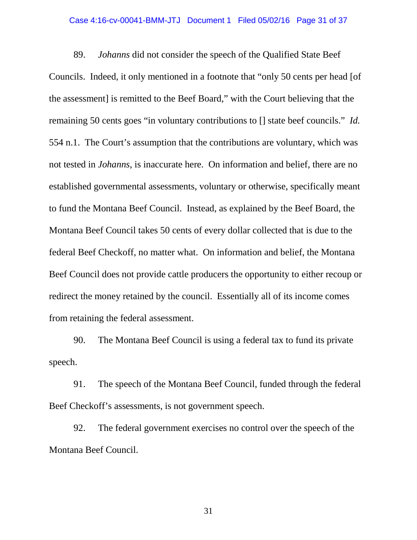### Case 4:16-cv-00041-BMM-JTJ Document 1 Filed 05/02/16 Page 31 of 37

89. *Johanns* did not consider the speech of the Qualified State Beef Councils. Indeed, it only mentioned in a footnote that "only 50 cents per head [of the assessment] is remitted to the Beef Board," with the Court believing that the remaining 50 cents goes "in voluntary contributions to [] state beef councils." *Id.*  554 n.1. The Court's assumption that the contributions are voluntary, which was not tested in *Johanns*, is inaccurate here. On information and belief, there are no established governmental assessments, voluntary or otherwise, specifically meant to fund the Montana Beef Council. Instead, as explained by the Beef Board, the Montana Beef Council takes 50 cents of every dollar collected that is due to the federal Beef Checkoff, no matter what. On information and belief, the Montana Beef Council does not provide cattle producers the opportunity to either recoup or redirect the money retained by the council. Essentially all of its income comes from retaining the federal assessment.

90. The Montana Beef Council is using a federal tax to fund its private speech.

91. The speech of the Montana Beef Council, funded through the federal Beef Checkoff's assessments, is not government speech.

92. The federal government exercises no control over the speech of the Montana Beef Council.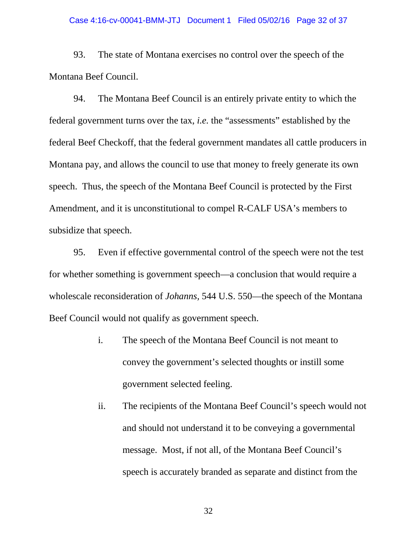#### Case 4:16-cv-00041-BMM-JTJ Document 1 Filed 05/02/16 Page 32 of 37

93. The state of Montana exercises no control over the speech of the Montana Beef Council.

94. The Montana Beef Council is an entirely private entity to which the federal government turns over the tax, *i.e.* the "assessments" established by the federal Beef Checkoff, that the federal government mandates all cattle producers in Montana pay, and allows the council to use that money to freely generate its own speech. Thus, the speech of the Montana Beef Council is protected by the First Amendment, and it is unconstitutional to compel R-CALF USA's members to subsidize that speech.

95. Even if effective governmental control of the speech were not the test for whether something is government speech—a conclusion that would require a wholescale reconsideration of *Johanns,* 544 U.S. 550—the speech of the Montana Beef Council would not qualify as government speech.

- i. The speech of the Montana Beef Council is not meant to convey the government's selected thoughts or instill some government selected feeling.
- ii. The recipients of the Montana Beef Council's speech would not and should not understand it to be conveying a governmental message. Most, if not all, of the Montana Beef Council's speech is accurately branded as separate and distinct from the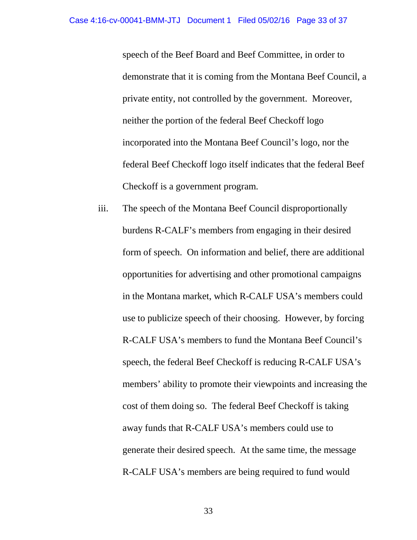speech of the Beef Board and Beef Committee, in order to demonstrate that it is coming from the Montana Beef Council, a private entity, not controlled by the government. Moreover, neither the portion of the federal Beef Checkoff logo incorporated into the Montana Beef Council's logo, nor the federal Beef Checkoff logo itself indicates that the federal Beef Checkoff is a government program.

iii. The speech of the Montana Beef Council disproportionally burdens R-CALF's members from engaging in their desired form of speech. On information and belief, there are additional opportunities for advertising and other promotional campaigns in the Montana market, which R-CALF USA's members could use to publicize speech of their choosing. However, by forcing R-CALF USA's members to fund the Montana Beef Council's speech, the federal Beef Checkoff is reducing R-CALF USA's members' ability to promote their viewpoints and increasing the cost of them doing so. The federal Beef Checkoff is taking away funds that R-CALF USA's members could use to generate their desired speech. At the same time, the message R-CALF USA's members are being required to fund would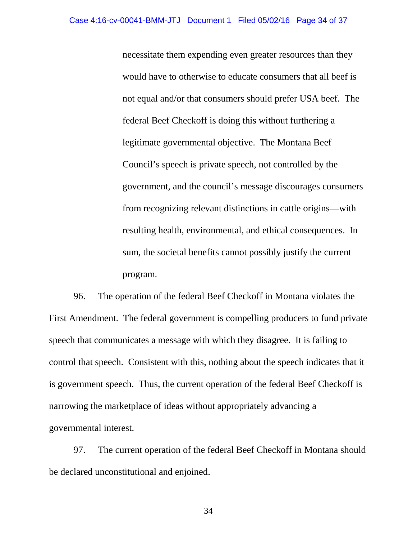necessitate them expending even greater resources than they would have to otherwise to educate consumers that all beef is not equal and/or that consumers should prefer USA beef. The federal Beef Checkoff is doing this without furthering a legitimate governmental objective. The Montana Beef Council's speech is private speech, not controlled by the government, and the council's message discourages consumers from recognizing relevant distinctions in cattle origins—with resulting health, environmental, and ethical consequences. In sum, the societal benefits cannot possibly justify the current program.

96. The operation of the federal Beef Checkoff in Montana violates the First Amendment. The federal government is compelling producers to fund private speech that communicates a message with which they disagree. It is failing to control that speech. Consistent with this, nothing about the speech indicates that it is government speech. Thus, the current operation of the federal Beef Checkoff is narrowing the marketplace of ideas without appropriately advancing a governmental interest.

97. The current operation of the federal Beef Checkoff in Montana should be declared unconstitutional and enjoined.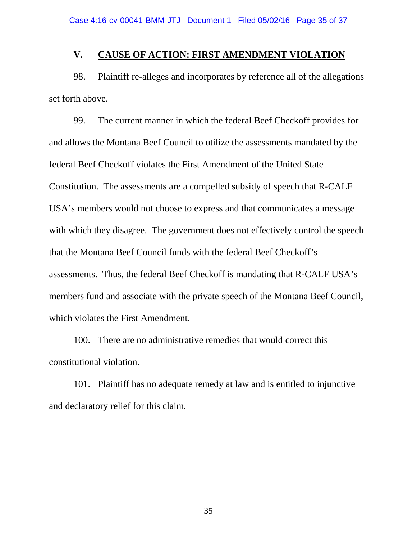### **V. CAUSE OF ACTION: FIRST AMENDMENT VIOLATION**

98. Plaintiff re-alleges and incorporates by reference all of the allegations set forth above.

99. The current manner in which the federal Beef Checkoff provides for and allows the Montana Beef Council to utilize the assessments mandated by the federal Beef Checkoff violates the First Amendment of the United State Constitution. The assessments are a compelled subsidy of speech that R-CALF USA's members would not choose to express and that communicates a message with which they disagree. The government does not effectively control the speech that the Montana Beef Council funds with the federal Beef Checkoff's assessments. Thus, the federal Beef Checkoff is mandating that R-CALF USA's members fund and associate with the private speech of the Montana Beef Council, which violates the First Amendment.

100. There are no administrative remedies that would correct this constitutional violation.

101. Plaintiff has no adequate remedy at law and is entitled to injunctive and declaratory relief for this claim.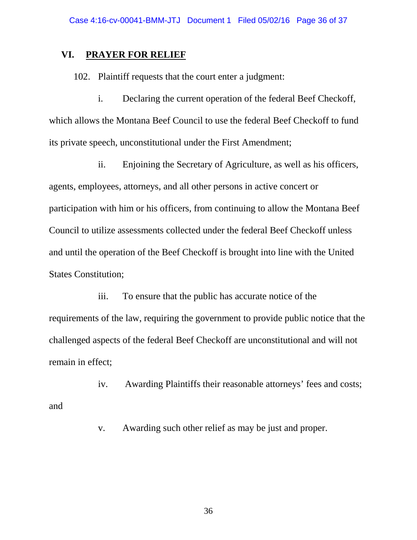### **VI. PRAYER FOR RELIEF**

102. Plaintiff requests that the court enter a judgment:

i. Declaring the current operation of the federal Beef Checkoff, which allows the Montana Beef Council to use the federal Beef Checkoff to fund its private speech, unconstitutional under the First Amendment;

ii. Enjoining the Secretary of Agriculture, as well as his officers, agents, employees, attorneys, and all other persons in active concert or participation with him or his officers, from continuing to allow the Montana Beef Council to utilize assessments collected under the federal Beef Checkoff unless and until the operation of the Beef Checkoff is brought into line with the United States Constitution;

iii. To ensure that the public has accurate notice of the requirements of the law, requiring the government to provide public notice that the challenged aspects of the federal Beef Checkoff are unconstitutional and will not remain in effect;

iv. Awarding Plaintiffs their reasonable attorneys' fees and costs; and

v. Awarding such other relief as may be just and proper.